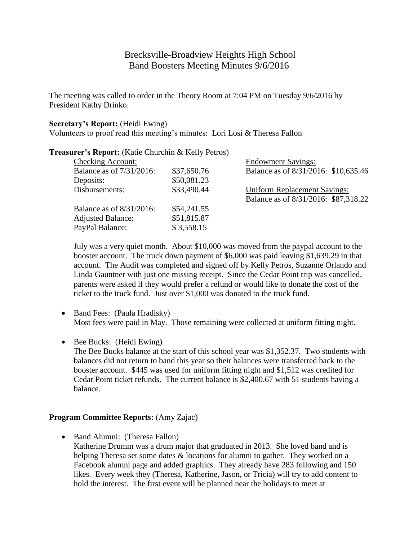# Brecksville-Broadview Heights High School Band Boosters Meeting Minutes 9/6/2016

The meeting was called to order in the Theory Room at 7:04 PM on Tuesday 9/6/2016 by President Kathy Drinko.

#### **Secretary's Report:** (Heidi Ewing)

Volunteers to proof read this meeting's minutes: Lori Losi & Theresa Fallon

### **Treasurer's Report:** (Katie Churchin & Kelly Petros)

| <b>Checking Account:</b> |             | <b>Endowment Savings:</b>            |
|--------------------------|-------------|--------------------------------------|
| Balance as of 7/31/2016: | \$37,650.76 | Balance as of 8/31/2016: \$10,635.46 |
| Deposits:                | \$50,081.23 |                                      |
| Disbursements:           | \$33,490.44 | <b>Uniform Replacement Savings:</b>  |
|                          |             | Balance as of 8/31/2016: \$87,318.22 |
| Balance as of 8/31/2016: | \$54,241.55 |                                      |
| <b>Adjusted Balance:</b> | \$51,815.87 |                                      |
| PayPal Balance:          | \$3,558.15  |                                      |
|                          |             |                                      |

July was a very quiet month. About \$10,000 was moved from the paypal account to the booster account. The truck down payment of \$6,000 was paid leaving \$1,639.29 in that account. The Audit was completed and signed off by Kelly Petros, Suzanne Orlando and Linda Gauntner with just one missing receipt. Since the Cedar Point trip was cancelled, parents were asked if they would prefer a refund or would like to donate the cost of the ticket to the truck fund. Just over \$1,000 was donated to the truck fund.

- Band Fees: (Paula Hradisky) Most fees were paid in May. Those remaining were collected at uniform fitting night.
- Bee Bucks: (Heidi Ewing) The Bee Bucks balance at the start of this school year was \$1,352.37. Two students with balances did not return to band this year so their balances were transferred back to the booster account. \$445 was used for uniform fitting night and \$1,512 was credited for Cedar Point ticket refunds. The current balance is \$2,400.67 with 51 students having a balance.

#### **Program Committee Reports:** (Amy Zajac)

• Band Alumni: (Theresa Fallon) Katherine Drumm was a drum major that graduated in 2013. She loved band and is helping Theresa set some dates & locations for alumni to gather. They worked on a Facebook alumni page and added graphics. They already have 283 following and 150 likes. Every week they (Theresa, Katherine, Jason, or Tricia) will try to add content to hold the interest. The first event will be planned near the holidays to meet at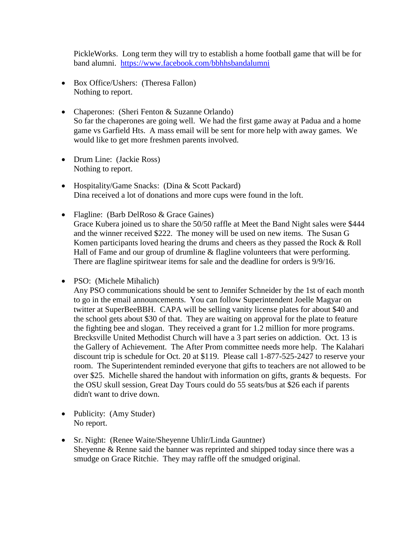PickleWorks. Long term they will try to establish a home football game that will be for band alumni. <https://www.facebook.com/bbhhsbandalumni>

- Box Office/Ushers: (Theresa Fallon) Nothing to report.
- Chaperones: (Sheri Fenton & Suzanne Orlando) So far the chaperones are going well. We had the first game away at Padua and a home game vs Garfield Hts. A mass email will be sent for more help with away games. We would like to get more freshmen parents involved.
- Drum Line: (Jackie Ross) Nothing to report.
- Hospitality/Game Snacks: (Dina & Scott Packard) Dina received a lot of donations and more cups were found in the loft.
- Flagline: (Barb DelRoso & Grace Gaines) Grace Kubera joined us to share the 50/50 raffle at Meet the Band Night sales were \$444 and the winner received \$222. The money will be used on new items. The Susan G Komen participants loved hearing the drums and cheers as they passed the Rock & Roll Hall of Fame and our group of drumline & flagline volunteers that were performing. There are flagline spiritwear items for sale and the deadline for orders is 9/9/16.
- PSO: (Michele Mihalich)

Any PSO communications should be sent to Jennifer Schneider by the 1st of each month to go in the email announcements. You can follow Superintendent Joelle Magyar on twitter at SuperBeeBBH. CAPA will be selling vanity license plates for about \$40 and the school gets about \$30 of that. They are waiting on approval for the plate to feature the fighting bee and slogan. They received a grant for 1.2 million for more programs. Brecksville United Methodist Church will have a 3 part series on addiction. Oct. 13 is the Gallery of Achievement. The After Prom committee needs more help. The Kalahari discount trip is schedule for Oct. 20 at \$119. Please call 1-877-525-2427 to reserve your room. The Superintendent reminded everyone that gifts to teachers are not allowed to be over \$25. Michelle shared the handout with information on gifts, grants & bequests. For the OSU skull session, Great Day Tours could do 55 seats/bus at \$26 each if parents didn't want to drive down.

- Publicity: (Amy Studer) No report.
- Sr. Night: (Renee Waite/Sheyenne Uhlir/Linda Gauntner) Sheyenne & Renne said the banner was reprinted and shipped today since there was a smudge on Grace Ritchie. They may raffle off the smudged original.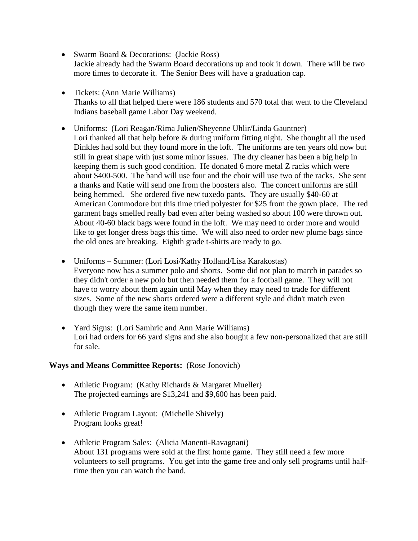- Swarm Board & Decorations: (Jackie Ross) Jackie already had the Swarm Board decorations up and took it down. There will be two more times to decorate it. The Senior Bees will have a graduation cap.
- Tickets: (Ann Marie Williams) Thanks to all that helped there were 186 students and 570 total that went to the Cleveland Indians baseball game Labor Day weekend.
- Uniforms: (Lori Reagan/Rima Julien/Sheyenne Uhlir/Linda Gauntner) Lori thanked all that help before & during uniform fitting night. She thought all the used Dinkles had sold but they found more in the loft. The uniforms are ten years old now but still in great shape with just some minor issues. The dry cleaner has been a big help in keeping them is such good condition. He donated 6 more metal Z racks which were about \$400-500. The band will use four and the choir will use two of the racks. She sent a thanks and Katie will send one from the boosters also. The concert uniforms are still being hemmed. She ordered five new tuxedo pants. They are usually \$40-60 at American Commodore but this time tried polyester for \$25 from the gown place. The red garment bags smelled really bad even after being washed so about 100 were thrown out. About 40-60 black bags were found in the loft. We may need to order more and would like to get longer dress bags this time. We will also need to order new plume bags since the old ones are breaking. Eighth grade t-shirts are ready to go.
- Uniforms Summer: (Lori Losi/Kathy Holland/Lisa Karakostas) Everyone now has a summer polo and shorts. Some did not plan to march in parades so they didn't order a new polo but then needed them for a football game. They will not have to worry about them again until May when they may need to trade for different sizes. Some of the new shorts ordered were a different style and didn't match even though they were the same item number.
- Yard Signs: (Lori Samhric and Ann Marie Williams) Lori had orders for 66 yard signs and she also bought a few non-personalized that are still for sale.

#### **Ways and Means Committee Reports:** (Rose Jonovich)

- Athletic Program: (Kathy Richards & Margaret Mueller) The projected earnings are \$13,241 and \$9,600 has been paid.
- Athletic Program Layout: (Michelle Shively) Program looks great!
- Athletic Program Sales: (Alicia Manenti-Ravagnani) About 131 programs were sold at the first home game. They still need a few more volunteers to sell programs. You get into the game free and only sell programs until halftime then you can watch the band.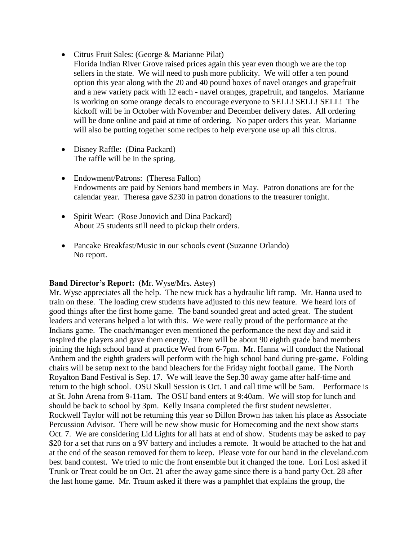- Citrus Fruit Sales: (George & Marianne Pilat)
- Florida Indian River Grove raised prices again this year even though we are the top sellers in the state. We will need to push more publicity. We will offer a ten pound option this year along with the 20 and 40 pound boxes of navel oranges and grapefruit and a new variety pack with 12 each - navel oranges, grapefruit, and tangelos. Marianne is working on some orange decals to encourage everyone to SELL! SELL! SELL! The kickoff will be in October with November and December delivery dates. All ordering will be done online and paid at time of ordering. No paper orders this year. Marianne will also be putting together some recipes to help everyone use up all this citrus.
- Disney Raffle: (Dina Packard) The raffle will be in the spring.
- Endowment/Patrons: (Theresa Fallon) Endowments are paid by Seniors band members in May. Patron donations are for the calendar year. Theresa gave \$230 in patron donations to the treasurer tonight.
- Spirit Wear: (Rose Jonovich and Dina Packard) About 25 students still need to pickup their orders.
- Pancake Breakfast/Music in our schools event (Suzanne Orlando) No report.

## **Band Director's Report:** (Mr. Wyse/Mrs. Astey)

Mr. Wyse appreciates all the help. The new truck has a hydraulic lift ramp. Mr. Hanna used to train on these. The loading crew students have adjusted to this new feature. We heard lots of good things after the first home game. The band sounded great and acted great. The student leaders and veterans helped a lot with this. We were really proud of the performance at the Indians game. The coach/manager even mentioned the performance the next day and said it inspired the players and gave them energy. There will be about 90 eighth grade band members joining the high school band at practice Wed from 6-7pm. Mr. Hanna will conduct the National Anthem and the eighth graders will perform with the high school band during pre-game. Folding chairs will be setup next to the band bleachers for the Friday night football game. The North Royalton Band Festival is Sep. 17. We will leave the Sep.30 away game after half-time and return to the high school. OSU Skull Session is Oct. 1 and call time will be 5am. Performace is at St. John Arena from 9-11am. The OSU band enters at 9:40am. We will stop for lunch and should be back to school by 3pm. Kelly Insana completed the first student newsletter. Rockwell Taylor will not be returning this year so Dillon Brown has taken his place as Associate Percussion Advisor. There will be new show music for Homecoming and the next show starts Oct. 7. We are considering Lid Lights for all hats at end of show. Students may be asked to pay \$20 for a set that runs on a 9V battery and includes a remote. It would be attached to the hat and at the end of the season removed for them to keep. Please vote for our band in the cleveland.com best band contest. We tried to mic the front ensemble but it changed the tone. Lori Losi asked if Trunk or Treat could be on Oct. 21 after the away game since there is a band party Oct. 28 after the last home game. Mr. Traum asked if there was a pamphlet that explains the group, the